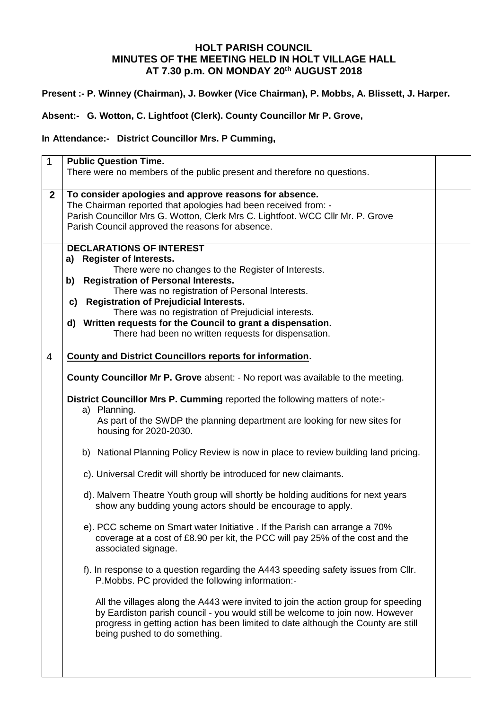## **HOLT PARISH COUNCIL MINUTES OF THE MEETING HELD IN HOLT VILLAGE HALL AT 7.30 p.m. ON MONDAY 20 th AUGUST 2018**

## **Present :- P. Winney (Chairman), J. Bowker (Vice Chairman), P. Mobbs, A. Blissett, J. Harper.**

**Absent:- G. Wotton, C. Lightfoot (Clerk). County Councillor Mr P. Grove,**

**In Attendance:- District Councillor Mrs. P Cumming,**

| $\mathbf{1}$ | <b>Public Question Time.</b>                                                           |  |
|--------------|----------------------------------------------------------------------------------------|--|
|              | There were no members of the public present and therefore no questions.                |  |
|              |                                                                                        |  |
| $\mathbf{2}$ | To consider apologies and approve reasons for absence.                                 |  |
|              | The Chairman reported that apologies had been received from: -                         |  |
|              | Parish Councillor Mrs G. Wotton, Clerk Mrs C. Lightfoot. WCC Cllr Mr. P. Grove         |  |
|              | Parish Council approved the reasons for absence.                                       |  |
|              |                                                                                        |  |
|              | <b>DECLARATIONS OF INTEREST</b>                                                        |  |
|              | a) Register of Interests.                                                              |  |
|              | There were no changes to the Register of Interests.                                    |  |
|              | b) Registration of Personal Interests.                                                 |  |
|              | There was no registration of Personal Interests.                                       |  |
|              | c) Registration of Prejudicial Interests.                                              |  |
|              |                                                                                        |  |
|              | There was no registration of Prejudicial interests.                                    |  |
|              | d) Written requests for the Council to grant a dispensation.                           |  |
|              | There had been no written requests for dispensation.                                   |  |
|              |                                                                                        |  |
| 4            | <b>County and District Councillors reports for information.</b>                        |  |
|              |                                                                                        |  |
|              | <b>County Councillor Mr P. Grove absent: - No report was available to the meeting.</b> |  |
|              | District Councillor Mrs P. Cumming reported the following matters of note:-            |  |
|              | a) Planning.                                                                           |  |
|              | As part of the SWDP the planning department are looking for new sites for              |  |
|              | housing for 2020-2030.                                                                 |  |
|              |                                                                                        |  |
|              | b) National Planning Policy Review is now in place to review building land pricing.    |  |
|              |                                                                                        |  |
|              | c). Universal Credit will shortly be introduced for new claimants.                     |  |
|              |                                                                                        |  |
|              | d). Malvern Theatre Youth group will shortly be holding auditions for next years       |  |
|              | show any budding young actors should be encourage to apply.                            |  |
|              |                                                                                        |  |
|              | e). PCC scheme on Smart water Initiative . If the Parish can arrange a 70%             |  |
|              | coverage at a cost of £8.90 per kit, the PCC will pay 25% of the cost and the          |  |
|              | associated signage.                                                                    |  |
|              |                                                                                        |  |
|              | f). In response to a question regarding the A443 speeding safety issues from Cllr.     |  |
|              | P.Mobbs. PC provided the following information:-                                       |  |
|              | All the villages along the A443 were invited to join the action group for speeding     |  |
|              |                                                                                        |  |
|              | by Eardiston parish council - you would still be welcome to join now. However          |  |
|              | progress in getting action has been limited to date although the County are still      |  |
|              | being pushed to do something.                                                          |  |
|              |                                                                                        |  |
|              |                                                                                        |  |
|              |                                                                                        |  |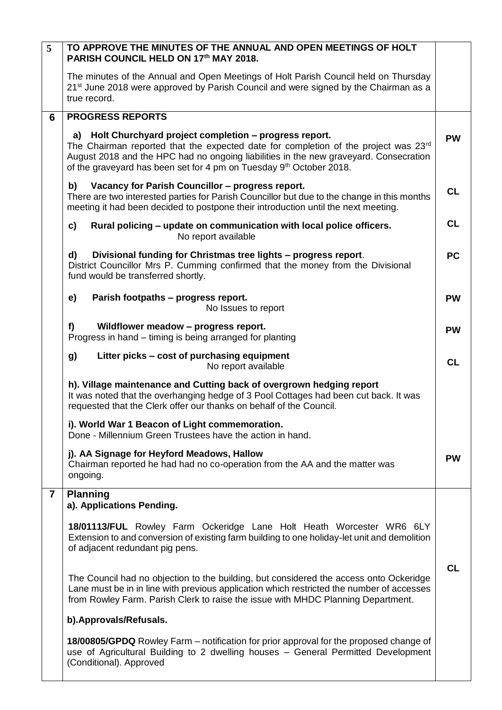| The minutes of the Annual and Open Meetings of Holt Parish Council held on Thursday<br>21 <sup>st</sup> June 2018 were approved by Parish Council and were signed by the Chairman as a<br>true record.                                                                                                                      |           |
|-----------------------------------------------------------------------------------------------------------------------------------------------------------------------------------------------------------------------------------------------------------------------------------------------------------------------------|-----------|
|                                                                                                                                                                                                                                                                                                                             |           |
| <b>PROGRESS REPORTS</b><br>6                                                                                                                                                                                                                                                                                                |           |
| a) Holt Churchyard project completion - progress report.<br>The Chairman reported that the expected date for completion of the project was 23rd<br>August 2018 and the HPC had no ongoing liabilities in the new graveyard. Consecration<br>of the graveyard has been set for 4 pm on Tuesday 9 <sup>th</sup> October 2018. | <b>PW</b> |
| Vacancy for Parish Councillor - progress report.<br>b)<br>There are two interested parties for Parish Councillor but due to the change in this months<br>meeting it had been decided to postpone their introduction until the next meeting.                                                                                 | <b>CL</b> |
| Rural policing - update on communication with local police officers.<br>c)<br>No report available                                                                                                                                                                                                                           | <b>CL</b> |
| Divisional funding for Christmas tree lights - progress report.<br>d)<br>District Councillor Mrs P. Cumming confirmed that the money from the Divisional<br>fund would be transferred shortly.                                                                                                                              | <b>PC</b> |
| Parish footpaths - progress report.<br>e)<br>No Issues to report                                                                                                                                                                                                                                                            | <b>PW</b> |
| Wildflower meadow - progress report.<br>f)<br>Progress in hand – timing is being arranged for planting                                                                                                                                                                                                                      | <b>PW</b> |
| Litter picks – cost of purchasing equipment<br>g)<br>No report available                                                                                                                                                                                                                                                    | <b>CL</b> |
| h). Village maintenance and Cutting back of overgrown hedging report<br>It was noted that the overhanging hedge of 3 Pool Cottages had been cut back. It was<br>requested that the Clerk offer our thanks on behalf of the Council.                                                                                         |           |
| i). World War 1 Beacon of Light commemoration.<br>Done - Millennium Green Trustees have the action in hand.                                                                                                                                                                                                                 |           |
| j). AA Signage for Heyford Meadows, Hallow<br>Chairman reported he had had no co-operation from the AA and the matter was<br>ongoing.                                                                                                                                                                                       | <b>PW</b> |
| $\overline{\mathbf{7}}$<br><b>Planning</b><br>a). Applications Pending.                                                                                                                                                                                                                                                     |           |
| 18/01113/FUL Rowley Farm Ockeridge Lane Holt Heath Worcester WR6 6LY<br>Extension to and conversion of existing farm building to one holiday-let unit and demolition<br>of adjacent redundant pig pens.                                                                                                                     |           |
| The Council had no objection to the building, but considered the access onto Ockeridge<br>Lane must be in in line with previous application which restricted the number of accesses<br>from Rowley Farm. Parish Clerk to raise the issue with MHDC Planning Department.                                                     | <b>CL</b> |
| b). Approvals/Refusals.                                                                                                                                                                                                                                                                                                     |           |
| <b>18/00805/GPDQ</b> Rowley Farm – notification for prior approval for the proposed change of<br>use of Agricultural Building to 2 dwelling houses - General Permitted Development<br>(Conditional). Approved                                                                                                               |           |